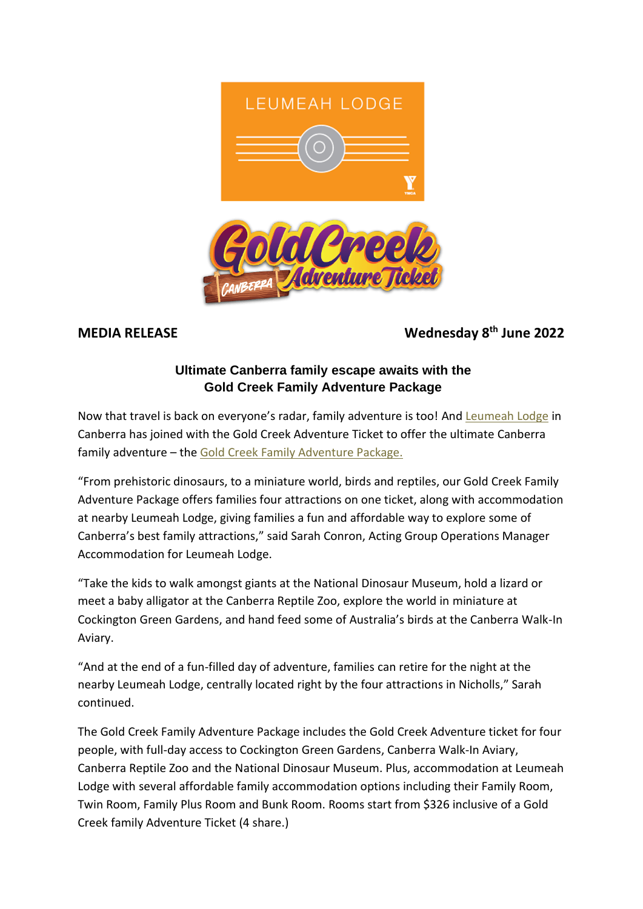



## **MEDIA RELEASE Wednesday 8th June 2022**

## **Ultimate Canberra family escape awaits with the Gold Creek Family Adventure Package**

Now that travel is back on everyone's radar, family adventure is too! And [Leumeah Lodge](http://leumeahlodge.com.au/) in Canberra has joined with the Gold Creek Adventure Ticket to offer the ultimate Canberra family adventure – the [Gold Creek Family Adventure Package.](http://leumeahlodge.com.au/gold-creek-family-adventure-package/)

"From prehistoric dinosaurs, to a miniature world, birds and reptiles, our Gold Creek Family Adventure Package offers families four attractions on one ticket, along with accommodation at nearby Leumeah Lodge, giving families a fun and affordable way to explore some of Canberra's best family attractions," said Sarah Conron, Acting Group Operations Manager Accommodation for Leumeah Lodge.

"Take the kids to walk amongst giants at the National Dinosaur Museum, hold a lizard or meet a baby alligator at the Canberra Reptile Zoo, explore the world in miniature at Cockington Green Gardens, and hand feed some of Australia's birds at the Canberra Walk-In Aviary.

"And at the end of a fun-filled day of adventure, families can retire for the night at the nearby Leumeah Lodge, centrally located right by the four attractions in Nicholls," Sarah continued.

The Gold Creek Family Adventure Package includes the Gold Creek Adventure ticket for four people, with full-day access to Cockington Green Gardens, Canberra Walk-In Aviary, Canberra Reptile Zoo and the National Dinosaur Museum. Plus, accommodation at Leumeah Lodge with several affordable family accommodation options including their Family Room, Twin Room, Family Plus Room and Bunk Room. Rooms start from \$326 inclusive of a Gold Creek family Adventure Ticket (4 share.)